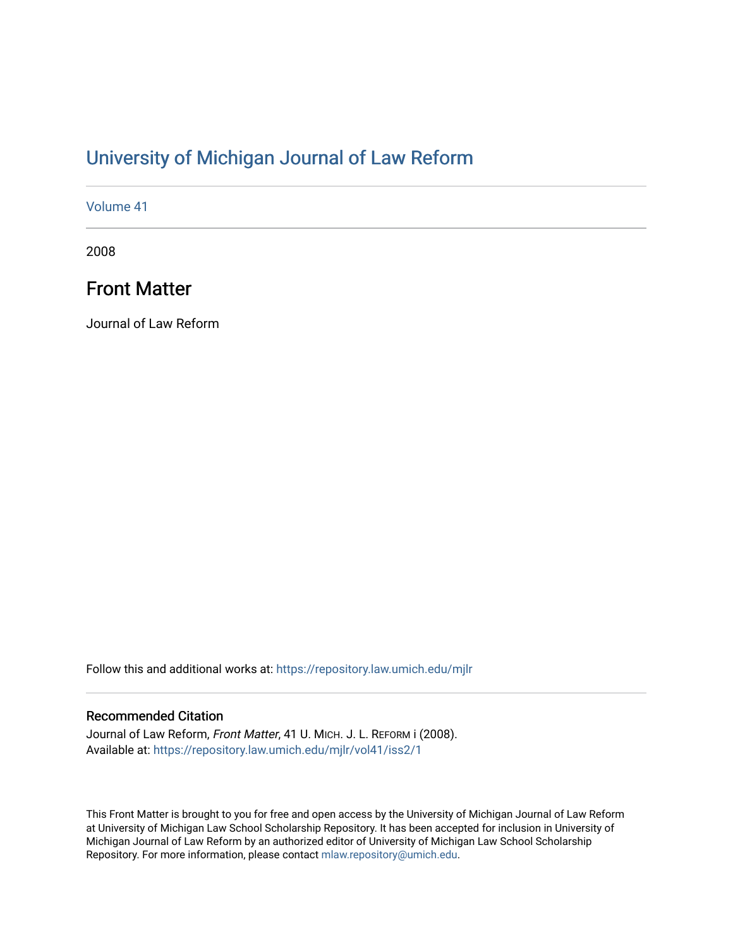## [University of Michigan Journal of Law Reform](https://repository.law.umich.edu/mjlr)

[Volume 41](https://repository.law.umich.edu/mjlr/vol41)

2008

## Front Matter

Journal of Law Reform

Follow this and additional works at: [https://repository.law.umich.edu/mjlr](https://repository.law.umich.edu/mjlr?utm_source=repository.law.umich.edu%2Fmjlr%2Fvol41%2Fiss2%2F1&utm_medium=PDF&utm_campaign=PDFCoverPages) 

#### Recommended Citation

Journal of Law Reform, Front Matter, 41 U. MICH. J. L. REFORM i (2008). Available at: [https://repository.law.umich.edu/mjlr/vol41/iss2/1](https://repository.law.umich.edu/mjlr/vol41/iss2/1?utm_source=repository.law.umich.edu%2Fmjlr%2Fvol41%2Fiss2%2F1&utm_medium=PDF&utm_campaign=PDFCoverPages) 

This Front Matter is brought to you for free and open access by the University of Michigan Journal of Law Reform at University of Michigan Law School Scholarship Repository. It has been accepted for inclusion in University of Michigan Journal of Law Reform by an authorized editor of University of Michigan Law School Scholarship Repository. For more information, please contact [mlaw.repository@umich.edu](mailto:mlaw.repository@umich.edu).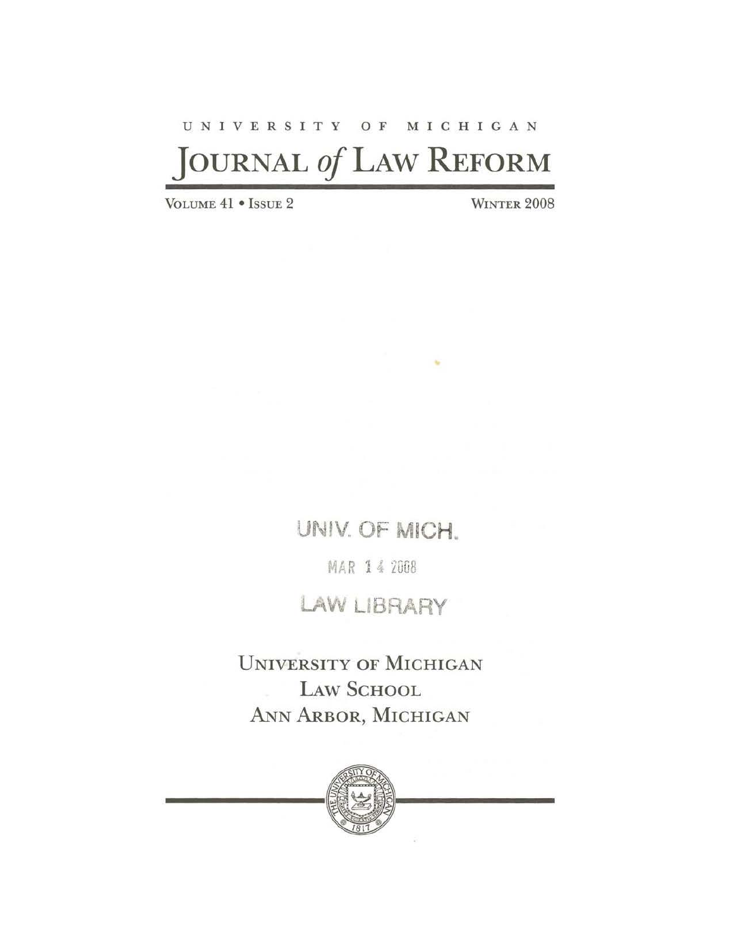# UNIVERSITY OF MICHIGAN **JOURNAL of LAW REFORM**

VOLUME 41 . ISSUE 2

WINTER 2008

# UNIV. OF MICH.

## MAR 1 4 2008

# LAW LIBRARY

**UNIVERSITY OF MICHIGAN** LAW SCHOOL ANN ARBOR, MICHIGAN

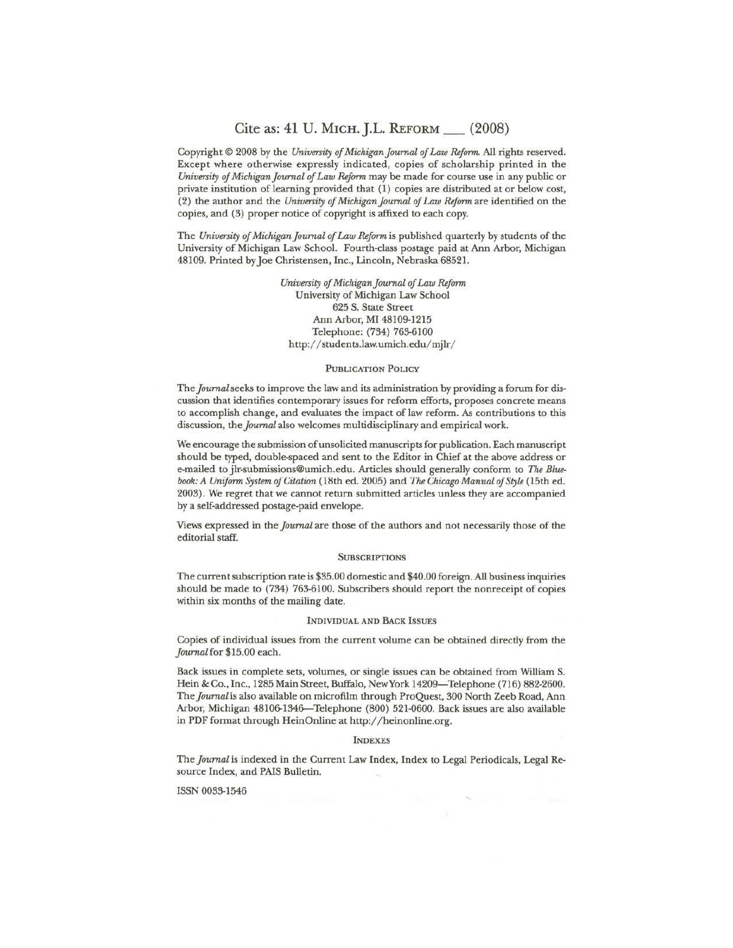#### Cite as: 41 U. MICH. J.L. REFORM \_\_ (2008)

Copyright © 2008 by the *University of Michigan Journal of Law Reform*. All rights reserved. Except where otherwise expressly indicated, copies of scholarship printed in the *University of Michigan Journal of Law R.eform* may be made for course use in any public or private institution of learning provided that (1) copies are distributed at or below cost, (2) the author and the *University of Michigan Journal of Law R.eform* are identified on the copies, and (3) proper notice of copyright is affixed to each copy.

The *University of Michigan Journal of Law Reform* is published quarterly by students of the University of Michigan Law School. Fourth-class postage paid at Ann Arbor, Michigan 48109. Printed by Joe Christensen, Inc., Lincoln, Nebraska 68521.

> *University of Michigan Journal of Law R.eform*  University of Michigan Law School 625 S. State Street Ann Arbor, MI 48109-1215 Telephone: (734) 763-6100 http:/ / students.law.urnich.edu/ mjlr/

#### PUBLICATION POLICY

The *Journal* seeks to improve the law and its administration by providing a forum for discussion that identifies contemporary issues for reform efforts, proposes concrete means to accomplish change, and evaluates the impact of law reform. As contributions to this discussion, the *journal* also welcomes multidisciplinary and empirical work.

We encourage the submission of unsolicited manuscripts for publication. Each manuscript should be typed, double-spaced and sent to the Eclitor in Chief at the above address or e-mailed to jlr-subrnissions@umich.edu. Articles should generally conform to *The Blmbook: A Uniform System of Citation* (18th ed. 2005) and *The Chicago Manual of Style* (15th ed. 2003). We regret that we cannot return submitted articles unless they are accompanied by a self-addressed postage-paid envelope.

Views expressed in the *journal* are those of the authors and not necessarily those of the editorial staff.

#### **SUBSCRIPTIONS**

The current subscription rate is \$35.00 domestic and \$40.00 foreign. All business inquiries should be made to (734) 763-6100. Subscribers should report the nonreceipt of copies within six months of the mailing date.

#### INDIVIDUAL AND BACK ISSUES

Copies of individual issues from the current volume can be obtained directly from the *journal* for \$15.00 each.

Back issues in complete sets, volumes, or single issues can be obtained from William S. Hein & Co., Inc., 1285 Main Street, Buffalo, New York 14209-Telephone (716) 882-2600. The *journal* is also available on microfilm through ProQuest, 300 North Zeeb Road, Ann Arbor, Michigan 48106-1346-Telephone (800) 521-0600. Back issues are also available in PDF format through HeinOnline at http:/ /heinonline.org.

#### INDEXES

The *journal* is indexed in the Current Law Index, Index to Legal Periodicals, Legal Resource Index, and PAIS Bulletin.

Service of

#### ISSN 0033-1546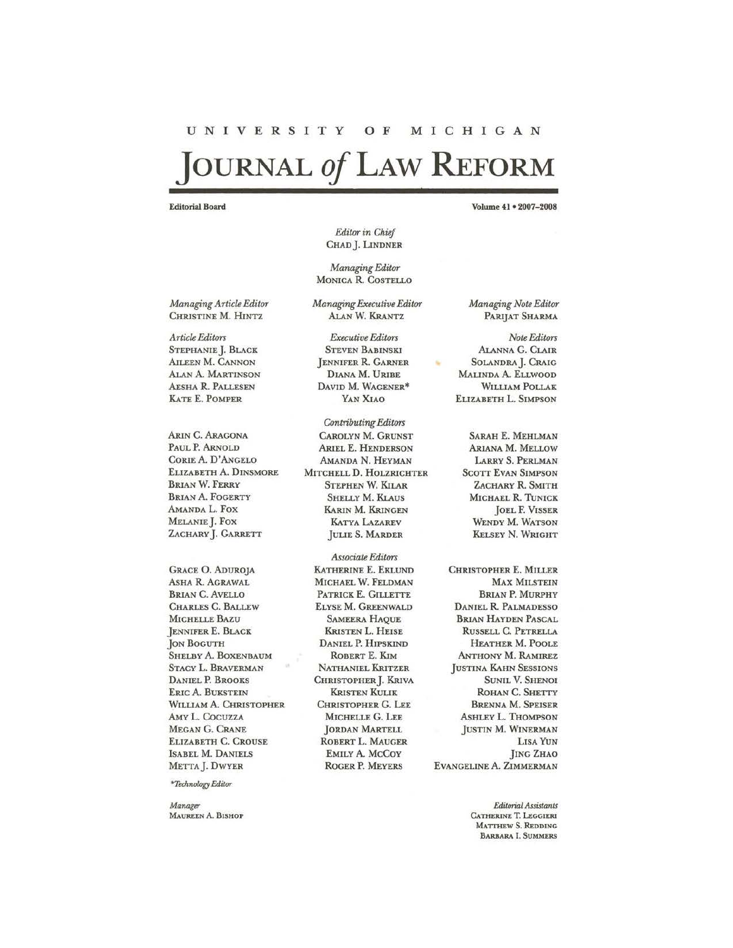# UNIVERS <sup>I</sup> TY 0 F <sup>M</sup> <sup>I</sup> CH <sup>I</sup> GAN **JOURNAL** *of* **LAW REFORM**

Editorial Board

*Editor* in *Chief*  CHAD j. LINDNER

*Managing Editor*  MONICA R. COSTELLO

*Managing Article Editor* CHRJSTINE M. HINTZ

*Article Editors*  STEPHANIE J. BLACK AILEEN M. CANNON ALAN A. MARTINSON AESHA R. PALLESEN **KATE E. POMPER** 

ARIN C. ARACONA PAUL P. ARNOLD CORIE A. D'ANCELO ELIZABETH A. DINSMORE BRIAN W. FERRY BRIAN A. FOGERTY AMANDA L. Fox MELANIE J. Fox ZACHARY J. GARRETT

GRACE 0. AoUROJA AsHA R. AGRAWAL BRIAN C. AVELLO CHARLES C. BALLEW MICHELLE BAZU JENNIFER E. BLACK JON BocUTH SHELBY A. BoxENBAUM STACY L. BRAVERMAN DANIEL P. BROOKS ERIC A. BURSTEIN WILLIAM A. CHRISTOPHER AMY L. COCUZZA MECAN G. CRANE ELIZABETH C. CROUSE ISABEL M. DANIELS METTA j. DWYER

*"Techl'Wwgy Editur* 

*Manager*  MAUREEN A. BISHOP *Managing Executive Editor*  ALAN W. KRANTZ

*Executive Editars*  STEVEN BABINSKI JENNIFER R. GARNER DIANA M. URIBE DAVID M. WAGENER\* YAN XIAO

Contributing *Editars*  CAROLYN M. GRUNST ARlEL E. HENDERSON AMANDA N. HEYMAN MITCHELL D. HOLZRICHTER STEPHEN W. KILAR SHELLY M. KI.Aus KARIN M. KRINGEN KATYA LAZAREV JULIE S. MARDER

*Associate Editars*  KATHERINE E. EKLUND MICHAEL W. FELDMAN PATRICK E. GILLETTE ELYSE M. GREENWALD SAMEERA HAQUE KRISTEN L. HEISE DANIEL P. HIPSKIND ROBERT E. KIM NATHANIEL KRITZER CHRISTOPHER]. KRIVA **KRISTEN KULIK** CHRISTOPHER G. LEE MICHELLE G. LEE JORDAN MARTELL ROBERT L. MAUGER EMILY A. McCov ROGER P. MEYERS

Volume 41 · 2007-2008

*Managing Note Editor* PARlJAT SHARMA

*Note Editars*  ALANNA G. CLAIR SOLANDRA J. CRAIG MALINDA A. ELLWOOD WILLIAM POLLAK ELIZABETH L. SIMPSON

> SARAH E. MEHLMAN ARIANA M. MELLOW LARRY S. PERLMAN SCOTT EVAN SIMPSON ZACHARY R. SMITH MICHAEL R. TUNICK JOEL F. VISSER WENDY M. WATSON KELSEY N. WRIGHT

CHRISTOPHER E. MILLER MAX MILSTEIN BRIAN P. MURPHY DANIEL R. PALMADESSO BRIAN HAYDEN PASCAL RUSSELL C. PETRELLA HEATHER M. POOLE ANTHONY M. RAMIREZ JUSTINA KAHN SESSIONS SUNIL V. SHENOI ROHAN C. SHETTY BRENNA M. SPEISER AsHLEY L. THOMPSON JUSTIN M. WINERMAN LISA YUN JING ZHAO EVANGELINE A. ZIMMERMAN

> *Edilllrial Asdstants*  CATHERINE T. LEGGIERI MATTHEW S. REDDING BARBARA I. SUMMERS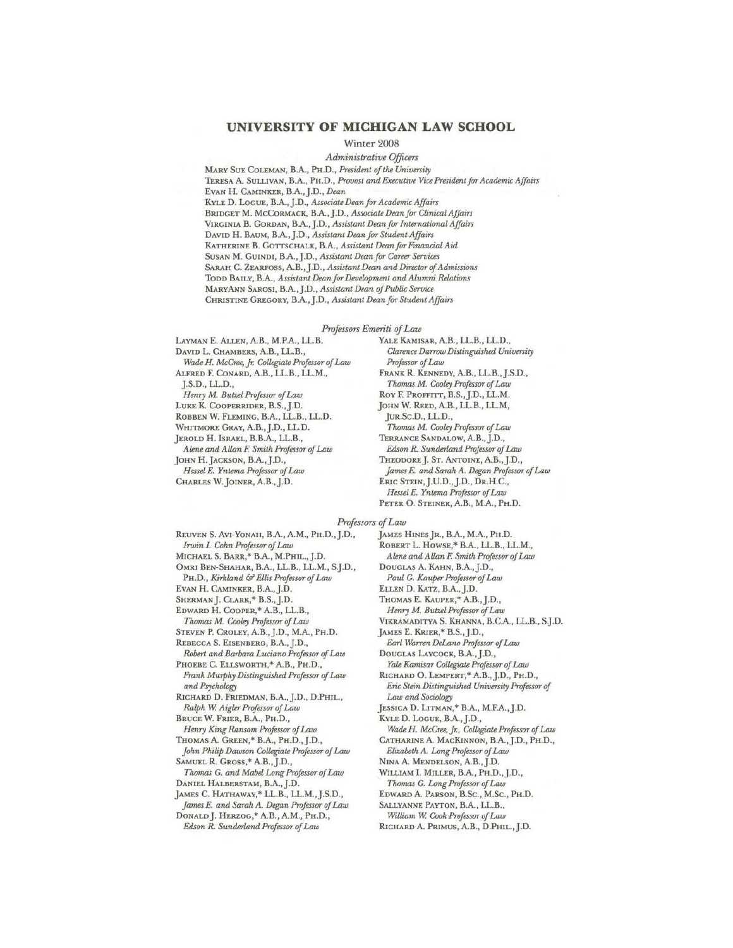#### UNIVERSITY OF MICHIGAN LAW SCHOOL

Winter 2008

Administrative Officers

MARY SUE COLEMAN, B.A., PH.D., President of the University TERESA A. SULLIVAN, B.A., PH.D., Provost and Executive Vice President for Academic Affairs EVAN H. CAMINKER, B.A., J.D., Dean KYLE D. LOGUE, B.A., J.D., Associate Dean for Academic Affairs BRIDGET M. MCCORMACK, B.A., J.D., Associate Dean for Clinical Affairs VIRGINIA B. GORDAN, B.A., J.D., Assistant Dean for International Affairs DAVID H. BAUM, B.A., J.D., Assistant Dean for Student Affairs KATHERINE B. GOTTSCHALK, B.A., Assistant Dean for Financial Aid SUSAN M. GUINDI, B.A., J.D., Assistant Dean for Career Services SARAH C. ZEARFOSS, A.B., J.D., Assistant Dean and Director of Admissions TODD BAILY, B.A., Assistant Dean for Development and Alumni Relations MARYANN SAROSI, B.A., J.D., Assistant Dean of Public Service CHRISTINE GREGORY, B.A., J.D., Assistant Dean for Student Affairs

Professors Emeriti of Law

LAYMAN E. ALLEN, A.B., M.P.A., LL.B. DAVID L. CHAMBERS, A.B., LL.B., Wade H. McCree, Jr. Collegiate Professor of Law ALFRED F. CONARD, A.B., LL.B., LL.M., J.S.D., LL.D., Henry M. Butzel Professor of Law LUKE K. COOPERRIDER, B.S., J.D. ROBBEN W. FLEMING, B.A., LL.B., LL.D. WHITMORE GRAY, A.B., J.D., LL.D. JEROLD H. ISRAEL, B.B.A., LL.B., Alene and Allan F. Smith Professor of Law JOHN H. JACKSON, B.A., J.D., Hessel E. Yntema Professor of Law CHARLES W. JOINER, A.B., J.D.

YALE KAMISAR, A.B., LL.B., LL.D., Clarence Darrow Distinguished University Professor of Law FRANK R. KENNEDY, A.B., LL.B., J.S.D., Thomas M. Cooley Professor of Law ROY F. PROFFITT, B.S., J.D., LL.M. JOHN W. REED, A.B., LL.B., LL.M, JUR.SC.D., LL.D., Thomas M. Cooley Professor of Law TERRANCE SANDALOW, A.B., J.D., Edson R. Sunderland Professor of Law THEODORE J. ST. ANTOINE, A.B., J.D., James E. and Sarah A. Degan Professor of Law ERIC STEIN, J.U.D., J.D., DR.H.C., Hessel E. Yntema Professor of Law PETER O. STEINER, A.B., M.A., PH.D.

Professors of Law

REUVEN S. AVI-YONAH, B.A., A.M., PH.D., J.D., Irwin I. Cohn Professor of Law

MICHAEL S. BARR,\* B.A., M.PHIL., J.D.

- OMRI BEN-SHAHAR, B.A., LL.B., LL.M., S.J.D., PH.D., Kirkland & Ellis Professor of Law
- EVAN H. CAMINKER, B.A., J.D.
- SHERMAN J. CLARK,\* B.S., J.D.
- EDWARD H. COOPER,\* A.B., LL.B., Thomas M. Cooley Professor of Law
- STEVEN P. CROLEY, A.B., J.D., M.A., PH.D. REBECCA S. EISENBERG, B.A., J.D.,
- Robert and Barbara Luciano Professor of Law PHOEBE C. ELLSWORTH,\* A.B., PH.D., Frank Murphy Distinguished Professor of Law
- and Psychology RICHARD D. FRIEDMAN, B.A., J.D., D.PHIL.,
- Ralph W. Aigler Professor of Law BRUCE W. FRIER, B.A., PH.D.,
- Henry King Ransom Professor of Law
- THOMAS A. GREEN,\* B.A., PH.D., J.D., John Philip Dawson Collegiate Professor of Law
- SAMUEL R. GROSS,\* A.B., J.D., Thomas G. and Mabel Long Professor of Law
- DANIEL HALBERSTAM, B.A., J.D. JAMES C. HATHAWAY,\* LL.B., LL.M., J.S.D.,
- James E. and Sarah A. Degan Professor of Law DONALD J. HERZOG,\* A.B., A.M., PH.D.,
- Edson R. Sunderland Professor of Law

JAMES HINES JR., B.A., M.A., PH.D. ROBERT L. HOWSE,\* B.A., LL.B., LL.M., Alene and Allan F. Smith Professor of Law DOUGLAS A. KAHN, B.A., J.D., Paul G. Kauper Professor of Law ELLEN D. KATZ, B.A., J.D. THOMAS E. KAUPER,\* A.B., J.D., Henry M. Butzel Professor of Law VIKRAMADITYA S. KHANNA, B.C.A., LL.B., S.J.D. JAMES E. KRIER,\* B.S., J.D., Earl Warren DeLano Professor of Law DOUGLAS LAYCOCK, B.A., J.D., Yale Kamisar Collegiate Professor of Law RICHARD O. LEMPERT,\* A.B., J.D., PH.D., Eric Stein Distinguished University Professor of Law and Sociology JESSICA D. LITMAN,\* B.A., M.F.A., J.D. KYLE D. LOGUE, B.A., J.D., Wade H. McCree, Jr., Collegiate Professor of Law CATHARINE A. MACKINNON, B.A., J.D., PH.D., Elizabeth A. Long Professor of Law NINA A. MENDELSON, A.B., J.D. WILLIAM I. MILLER, B.A., PH.D., J.D., Thomas G. Long Professor of Law EDWARD A. PARSON, B.Sc., M.Sc., PH.D. SALLYANNE PAYTON, B.A., LL.B., William W. Cook Professor of Law RICHARD A. PRIMUS, A.B., D.PHIL., J.D.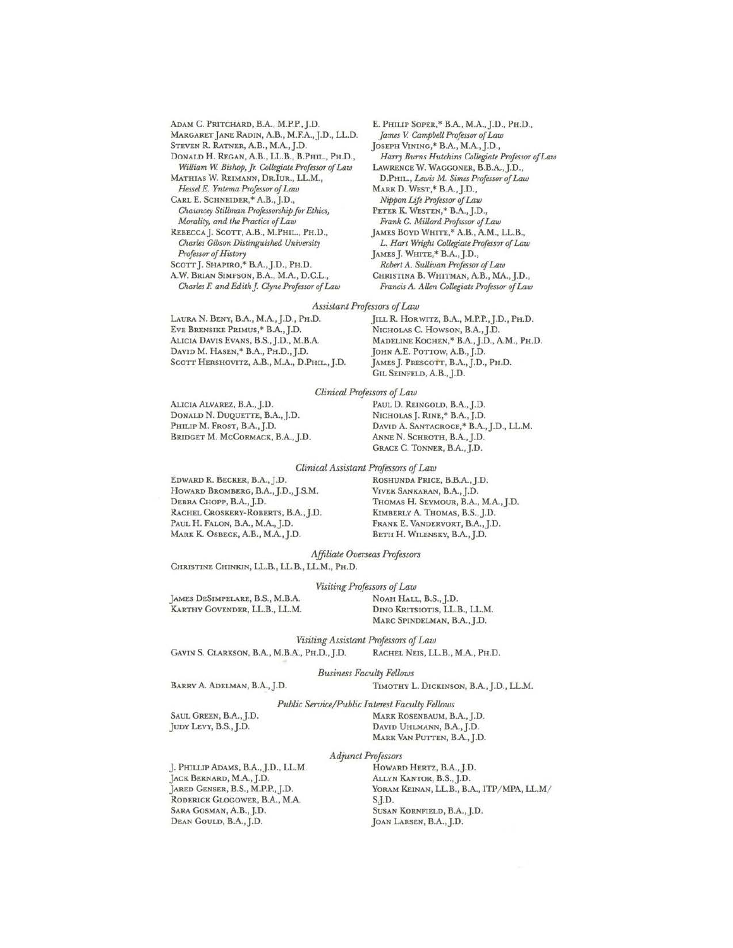ADAM C. PRITCHARD, B.A., M.P.P., J.D. MARGARET JANE RADIN, A.B., M.F.A., J.D., LL.D. STEVEN R. RATNER, A.B., M.A., J.D. DONALD H. REGAN, A.B., LL.B., B.PHIL., PH.D., William W. Bishop, Jr. Collegiate Professor of Law MATHIAS W. REIMANN, DR.IUR., LL.M., Hessel E. Yntema Professor of Law CARL E. SCHNEIDER,\* A.B., J.D., Chauncey Stillman Professorship for Ethics, Morality, and the Practice of Law REBECCA J. SCOTT, A.B., M.PHIL., PH.D., Charles Gibson Distinguished University Professor of History SCOTT J. SHAPIRO,\* B.A., J.D., PH.D. A.W. BRIAN SIMPSON, B.A., M.A., D.C.L., Charles F. and Edith J. Clyne Professor of Law

E. PHILIP SOPER,\* B.A., M.A., J.D., PH.D., James V. Campbell Professor of Law JOSEPH VINING,\* B.A., M.A., J.D., Harry Burns Hutchins Collegiate Professor of Law LAWRENCE W. WAGGONER, B.B.A., J.D., D.PHIL., Lewis M. Simes Professor of Law MARK D. WEST,\* B.A., J.D., Nippon Life Professor of Law PETER K. WESTEN,\* B.A., J.D., Frank G. Millard Professor of Law JAMES BOYD WHITE,\* A.B., A.M., LL.B., L. Hart Wright Collegiate Professor of Law JAMES J. WHITE,\* B.A., J.D., Robert A. Sullivan Professor of Law CHRISTINA B. WHITMAN, A.B., MA., J.D., Francis A. Allen Collegiate Professor of Law

#### Assistant Professors of Law

LAURA N. BENY, B.A., M.A., J.D., PH.D. EVE BRENSIKE PRIMUS,\* B.A., J.D. ALICIA DAVIS EVANS, B.S., J.D., M.B.A. DAVID M. HASEN,\* B.A., PH.D., J.D. SCOTT HERSHOVITZ, A.B., M.A., D.PHIL., J.D. JILL R. HORWITZ, B.A., M.P.P., J.D., PH.D. NICHOLAS C. HOWSON, B.A., J.D. MADELINE KOCHEN,\* B.A., J.D., A.M., PH.D. JOHN A.E. POTTOW, A.B., J.D. JAMES J. PRESCOTT, B.A., J.D., PH.D. GIL SEINFELD, A.B., J.D.

#### Clinical Professors of Law

ALICIA ALVAREZ, B.A., J.D. DONALD N. DUQUETTE, B.A., J.D. PHILIP M. FROST, B.A., J.D. BRIDGET M. MCCORMACK, B.A., J.D. PAUL D. REINGOLD, B.A., J.D. NICHOLAS J. RINE,\* B.A., J.D. DAVID A. SANTACROCE,\* B.A., J.D., LL.M. ANNE N. SCHROTH, B.A., J.D. GRACE C. TONNER, B.A., J.D.

Clinical Assistant Professors of Law

EDWARD R. BECKER, B.A., J.D. HOWARD BROMBERG, B.A., J.D., J.S.M. DEBRA CHOPP, B.A., J.D. RACHEL CROSKERY-ROBERTS, B.A., J.D. PAUL H. FALON, B.A., M.A., J.D. MARK K. OSBECK, A.B., M.A., J.D.

ROSHUNDA PRICE, B.B.A., J.D. VIVEK SANKARAN, B.A., J.D. THOMAS H. SEYMOUR, B.A., M.A., J.D. KIMBERLY A. THOMAS, B.S., J.D. FRANK E. VANDERVORT, B.A., J.D. BETH H. WILENSKY, B.A., J.D.

Affiliate Overseas Professors

CHRISTINE CHINKIN, LL.B., LL.B., LL.M., PH.D.

#### Visiting Professors of Law

JAMES DESIMPELARE, B.S., M.B.A. KARTHY GOVENDER, LL.B., LL.M. NOAH HALL, B.S., J.D. DINO KRITSIOTIS, LL.B., LL.M. MARC SPINDELMAN, B.A., J.D.

Visiting Assistant Professors of Law GAVIN S. CLARKSON, B.A., M.B.A., PH.D., J.D. RACHEL NEIS, LL.B., M.A., PH.D.

**Business Faculty Fellows** 

TIMOTHY L. DICKINSON, B.A., J.D., LL.M.

SAUL GREEN, B.A., J.D. JUDY LEVY, B.S., J.D.

BARRY A. ADELMAN, B.A., J.D.

Public Service/Public Interest Faculty Fellows MARK ROSENBAUM, B.A., J.D. DAVID UHLMANN, B.A., J.D. MARK VAN PUTTEN, B.A., J.D.

#### **Adjunct Professors**

J. PHILLIP ADAMS, B.A., J.D., LL.M. JACK BERNARD, M.A., J.D. JARED GENSER, B.S., M.P.P., J.D. RODERICK GLOGOWER, B.A., M.A. SARA GOSMAN, A.B., J.D. DEAN GOULD, B.A., J.D.

HOWARD HERTZ, B.A., J.D. ALLYN KANTOR, B.S., J.D. YORAM KEINAN, LL.B., B.A., ITP/MPA, LL.M/ S.J.D. SUSAN KORNFIELD, B.A., J.D. JOAN LARSEN, B.A., J.D.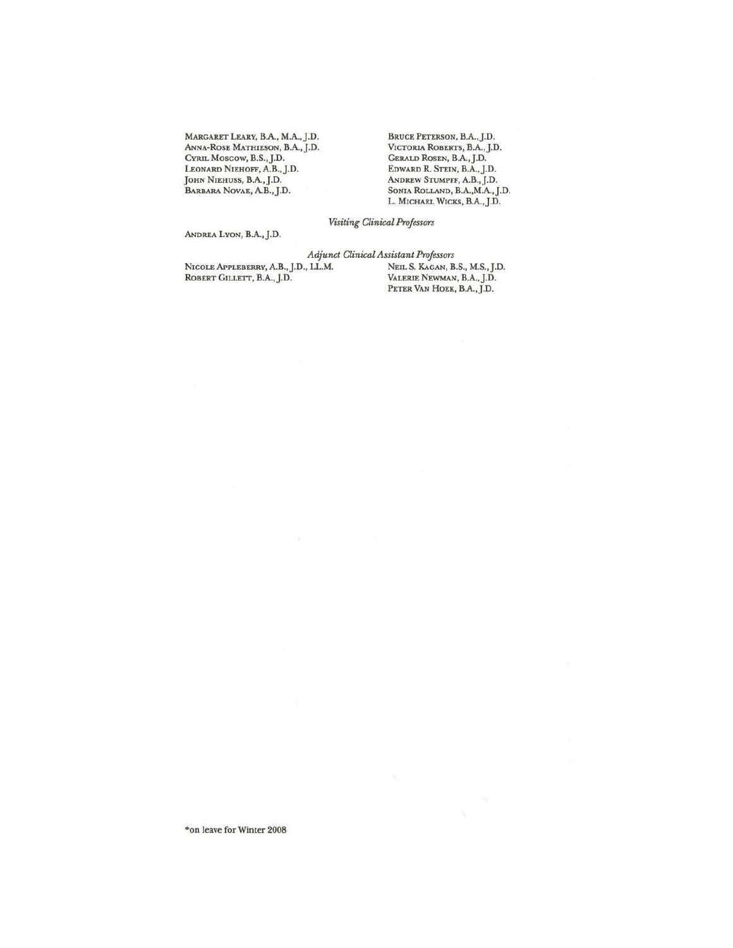MARGARET LEARY, B.A., M.A.,J.D. ANNA-ROSE MATHIESON, B.A., J.D. CYRIL Moscow, B.S.,J.D. LEONARD NIEHOFF, A.B., J.D. JOHN NIEHUSS, B.A., J.D. BARBARA NOVAK, A.B., J.D.

BRUCE PETERSON, B.A.,J.D. VICTORIA ROBERTS, B.A.,J.D. GERALD ROSEN, B.A., J.D. EDWARD R. STEIN, B.A., J.D. ANDREW STUMPFF, A.B.,J.D. SONIA ROLLAND, B.A., M.A., J.D. L. MICHAEL WICKS, B.A., J.D.

#### $V$ *isiting Clinical Professors*

ANDREA LYON, B.A.,J.D.

#### $A$ *djunct Clinical Assistant Professors*

NICOLE APPLEBERRY, A.B., J.D., LL.M.<br>ROBERT GILLETT, B.A., J.D.

Neil S. Kagan, B.S., M.S., J.D.<br>Valerie Newman, B.A., J.D. PETER VAN HOEK, B.A., J.D.

\*on leave for Winter 2008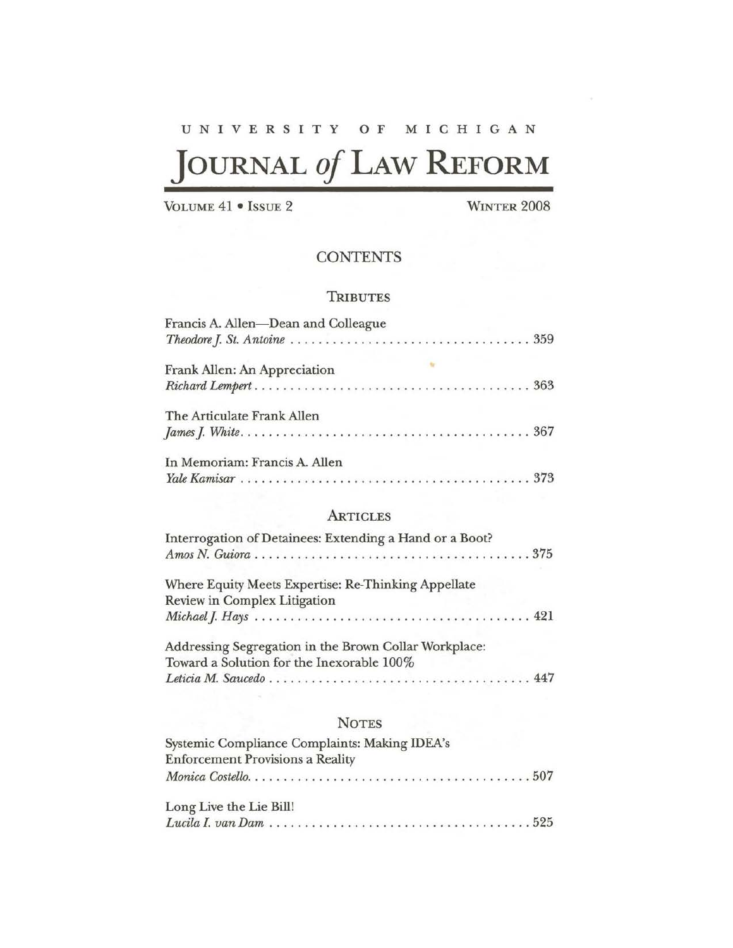# UNIVERSITY OF MICHIGAN **JOURNAL** *of* **LAW REFORM**

VOLUME 41 · ISSUE 2 WINTER 2008

## **CONTENTS**

### **TRIBUTES**

| Francis A. Allen-Dean and Colleague |  |
|-------------------------------------|--|
|                                     |  |
| Frank Allen: An Appreciation        |  |
|                                     |  |
| The Articulate Frank Allen          |  |
|                                     |  |
| In Memoriam: Francis A. Allen       |  |
|                                     |  |

### **ARTICLES**

| Interrogation of Detainees: Extending a Hand or a Boot?                                                      |  |
|--------------------------------------------------------------------------------------------------------------|--|
| Where Equity Meets Expertise: Re-Thinking Appellate                                                          |  |
| Review in Complex Litigation                                                                                 |  |
| Michael J. Hays $\ldots \ldots \ldots \ldots \ldots \ldots \ldots \ldots \ldots \ldots \ldots \ldots \ldots$ |  |
| Addressing Segregation in the Brown Collar Workplace:                                                        |  |
| Toward a Solution for the Inexorable 100%                                                                    |  |
|                                                                                                              |  |

### NOTES

| Systemic Compliance Complaints: Making IDEA's |  |
|-----------------------------------------------|--|
| <b>Enforcement Provisions a Reality</b>       |  |
|                                               |  |
| Long Live the Lie Bill!                       |  |
|                                               |  |